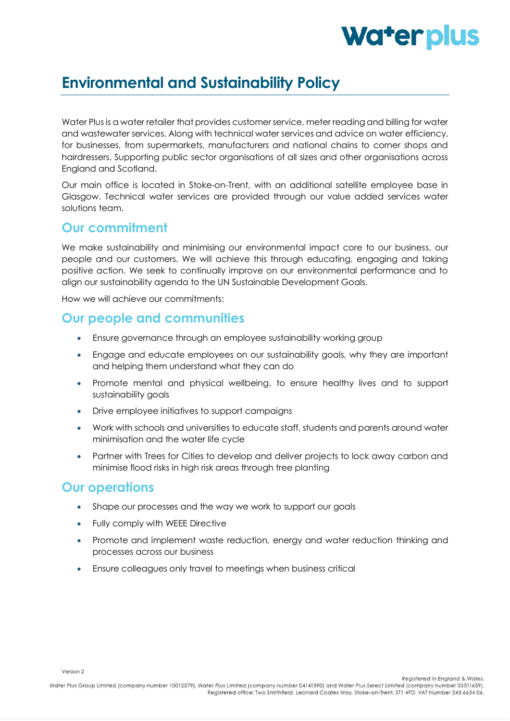# Water plus

## **Environmental and Sustainability Policy**

Water Plus is a water retailer that provides customer service, meter reading and billing for water and wastewater services. Along with technical water services and advice on water efficiency, for businesses, from supermarkets, manufacturers and national chains to corner shops and hairdressers. Supporting public sector organisations of all sizes and other organisations across England and Scotland.

Our main office is located in Stoke-on-Trent, with an additional satellite employee base in Glasgow. Technical water services are provided through our value added services water solutions team.

#### **Our commitment**

We make sustainability and minimising our environmental impact core to our business, our people and our customers. We will achieve this through educating, engaging and taking positive action. We seek to continually improve on our environmental performance and to align our sustainability agenda to the UN Sustainable Development Goals.

How we will achieve our commitments:

#### **Our people and communities**

- Ensure governance through an employee sustainability working group
- Engage and educate employees on our sustainability goals, why they are important and helping them understand what they can do
- Promote mental and physical wellbeing, to ensure healthy lives and to support sustainability goals
- Drive employee initiatives to support campaigns
- Work with schools and universities to educate staff, students and parents around water minimisation and the water life cycle
- Partner with Trees for Cities to develop and deliver projects to lock away carbon and minimise flood risks in high risk areas through tree planting

#### **Our operations**

- Shape our processes and the way we work to support our goals
- Fully comply with WEEE Directive
- Promote and implement waste reduction, energy and water reduction thinking and processes across our business
- Ensure colleagues only travel to meetings when business critical

Version 2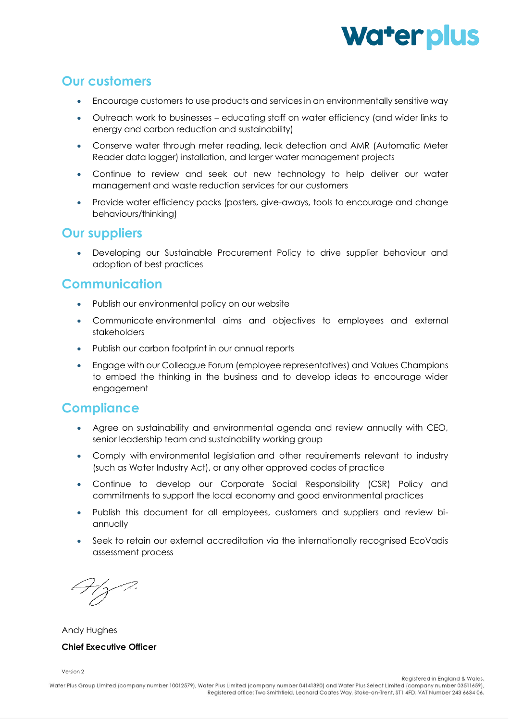

#### **Our customers**

- Encourage customers to use products and services in an environmentally sensitive way
- Outreach work to businesses educating staff on water efficiency (and wider links to energy and carbon reduction and sustainability)
- Conserve water through meter reading, leak detection and AMR (Automatic Meter Reader data logger) installation, and larger water management projects
- Continue to review and seek out new technology to help deliver our water management and waste reduction services for our customers
- Provide water efficiency packs (posters, give-aways, tools to encourage and change behaviours/thinking)

#### **Our suppliers**

• Developing our Sustainable Procurement Policy to drive supplier behaviour and adoption of best practices

#### **Communication**

- Publish our environmental policy on our website
- Communicate environmental aims and objectives to employees and external stakeholders
- Publish our carbon footprint in our annual reports
- Engage with our Colleague Forum (employee representatives) and Values Champions to embed the thinking in the business and to develop ideas to encourage wider engagement

#### **Compliance**

- Agree on sustainability and environmental agenda and review annually with CEO, senior leadership team and sustainability working group
- Comply with environmental legislation and other requirements relevant to industry (such as Water Industry Act), or any other approved codes of practice
- Continue to develop our Corporate Social Responsibility (CSR) Policy and commitments to support the local economy and good environmental practices
- Publish this document for all employees, customers and suppliers and review biannually
- Seek to retain our external accreditation via the internationally recognised EcoVadis assessment process

Andy Hughes

#### **Chief Executive Officer**

Version 2

Registered in England & Wales.